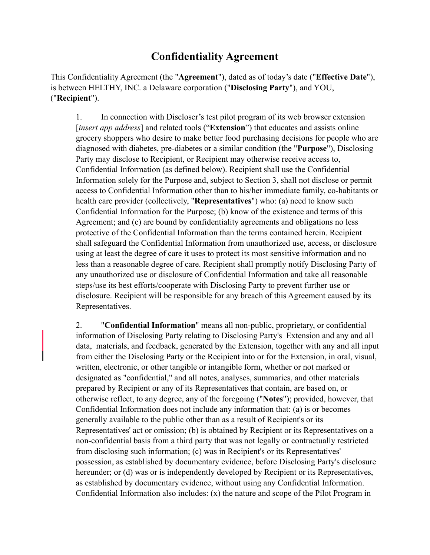## **Confidentiality Agreement**

This Confidentiality Agreement (the "**Agreement**"), dated as of today's date ("**Effective Date**"), is between HELTHY, INC. a Delaware corporation ("**Disclosing Party**"), and YOU, ("**Recipient**").

1. In connection with Discloser's test pilot program of its web browser extension [*insert app address*] and related tools ("**Extension**") that educates and assists online grocery shoppers who desire to make better food purchasing decisions for people who are diagnosed with diabetes, pre-diabetes or a similar condition (the "**Purpose**"), Disclosing Party may disclose to Recipient, or Recipient may otherwise receive access to, Confidential Information (as defined below). Recipient shall use the Confidential Information solely for the Purpose and, subject to Section [3,](#page-1-0) shall not disclose or permit access to Confidential Information other than to his/her immediate family, co-habitants or health care provider (collectively, "**Representatives**") who: (a) need to know such Confidential Information for the Purpose; (b) know of the existence and terms of this Agreement; and (c) are bound by confidentiality agreements and obligations no less protective of the Confidential Information than the terms contained herein. Recipient shall safeguard the Confidential Information from unauthorized use, access, or disclosure using at least the degree of care it uses to protect its most sensitive information and no less than a reasonable degree of care. Recipient shall promptly notify Disclosing Party of any unauthorized use or disclosure of Confidential Information and take all reasonable steps/use its best efforts/cooperate with Disclosing Party to prevent further use or disclosure. Recipient will be responsible for any breach of this Agreement caused by its Representatives.

2. "**Confidential Information**" means all non-public, proprietary, or confidential information of Disclosing Party relating to Disclosing Party's Extension and any and all data, materials, and feedback, generated by the Extension, together with any and all input from either the Disclosing Party or the Recipient into or for the Extension, in oral, visual, written, electronic, or other tangible or intangible form, whether or not marked or designated as "confidential," and all notes, analyses, summaries, and other materials prepared by Recipient or any of its Representatives that contain, are based on, or otherwise reflect, to any degree, any of the foregoing ("**Notes**"); provided, however, that Confidential Information does not include any information that: (a) is or becomes generally available to the public other than as a result of Recipient's or its Representatives' act or omission; (b) is obtained by Recipient or its Representatives on a non-confidential basis from a third party that was not legally or contractually restricted from disclosing such information; (c) was in Recipient's or its Representatives' possession, as established by documentary evidence, before Disclosing Party's disclosure hereunder; or (d) was or is independently developed by Recipient or its Representatives, as established by documentary evidence, without using any Confidential Information. Confidential Information also includes: (x) the nature and scope of the Pilot Program in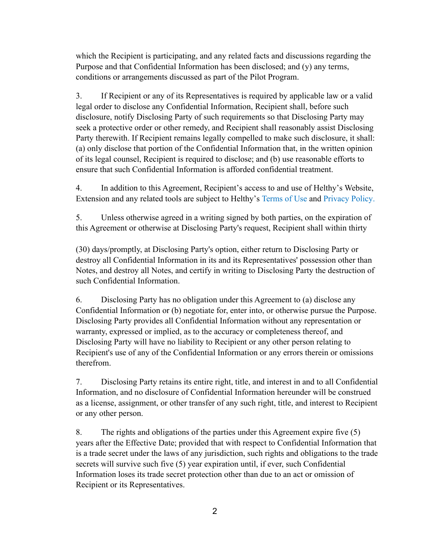which the Recipient is participating, and any related facts and discussions regarding the Purpose and that Confidential Information has been disclosed; and (y) any terms, conditions or arrangements discussed as part of the Pilot Program.

<span id="page-1-0"></span>3. If Recipient or any of its Representatives is required by applicable law or a valid legal order to disclose any Confidential Information, Recipient shall, before such disclosure, notify Disclosing Party of such requirements so that Disclosing Party may seek a protective order or other remedy, and Recipient shall reasonably assist Disclosing Party therewith. If Recipient remains legally compelled to make such disclosure, it shall: (a) only disclose that portion of the Confidential Information that, in the written opinion of its legal counsel, Recipient is required to disclose; and (b) use reasonable efforts to ensure that such Confidential Information is afforded confidential treatment.

4. In addition to this Agreement, Recipient's access to and use of Helthy's Website, Extension and any related tools are subject to Helthy's Terms of Use and Privacy Policy.

5. Unless otherwise agreed in a writing signed by both parties, on the expiration of this Agreement or otherwise at Disclosing Party's request, Recipient shall within thirty

(30) days/promptly, at Disclosing Party's option, either return to Disclosing Party or destroy all Confidential Information in its and its Representatives' possession other than Notes, and destroy all Notes, and certify in writing to Disclosing Party the destruction of such Confidential Information.

6. Disclosing Party has no obligation under this Agreement to (a) disclose any Confidential Information or (b) negotiate for, enter into, or otherwise pursue the Purpose. Disclosing Party provides all Confidential Information without any representation or warranty, expressed or implied, as to the accuracy or completeness thereof, and Disclosing Party will have no liability to Recipient or any other person relating to Recipient's use of any of the Confidential Information or any errors therein or omissions therefrom.

7. Disclosing Party retains its entire right, title, and interest in and to all Confidential Information, and no disclosure of Confidential Information hereunder will be construed as a license, assignment, or other transfer of any such right, title, and interest to Recipient or any other person.

8. The rights and obligations of the parties under this Agreement expire five (5) years after the Effective Date; provided that with respect to Confidential Information that is a trade secret under the laws of any jurisdiction, such rights and obligations to the trade secrets will survive such five (5) year expiration until, if ever, such Confidential Information loses its trade secret protection other than due to an act or omission of Recipient or its Representatives.